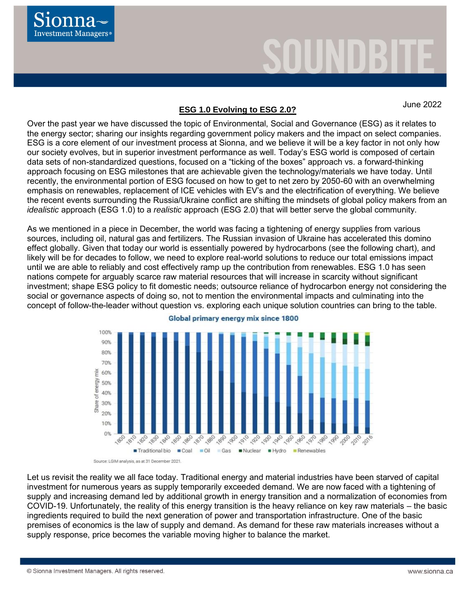

# June <sup>2022</sup> **ESG 1.0 Evolving to ESG 2.0?**

Over the past year we have discussed the topic of Environmental, Social and Governance (ESG) as it relates to the energy sector; sharing our insights regarding government policy makers and the impact on select companies. ESG is a core element of our investment process at Sionna, and we believe it will be a key factor in not only how our society evolves, but in superior investment performance as well. Today's ESG world is composed of certain data sets of non-standardized questions, focused on a "ticking of the boxes" approach vs. a forward-thinking approach focusing on ESG milestones that are achievable given the technology/materials we have today. Until recently, the environmental portion of ESG focused on how to get to net zero by 2050-60 with an overwhelming emphasis on renewables, replacement of ICE vehicles with EV's and the electrification of everything. We believe the recent events surrounding the Russia/Ukraine conflict are shifting the mindsets of global policy makers from an *idealistic* approach (ESG 1.0) to a *realistic* approach (ESG 2.0) that will better serve the global community.

As we mentioned in a piece in December, the world was facing a tightening of energy supplies from various sources, including oil, natural gas and fertilizers. The Russian invasion of Ukraine has accelerated this domino effect globally. Given that today our world is essentially powered by hydrocarbons (see the following chart), and likely will be for decades to follow, we need to explore real-world solutions to reduce our total emissions impact until we are able to reliably and cost effectively ramp up the contribution from renewables. ESG 1.0 has seen nations compete for arguably scarce raw material resources that will increase in scarcity without significant investment; shape ESG policy to fit domestic needs; outsource reliance of hydrocarbon energy not considering the social or governance aspects of doing so, not to mention the environmental impacts and culminating into the concept of follow-the-leader without question vs. exploring each unique solution countries can bring to the table.



#### Global primary energy mix since 1800

Source: LGIM analysis, as at 31 December 2021

Let us revisit the reality we all face today. Traditional energy and material industries have been starved of capital investment for numerous years as supply temporarily exceeded demand. We are now faced with a tightening of supply and increasing demand led by additional growth in energy transition and a normalization of economies from COVID-19. Unfortunately, the reality of this energy transition is the heavy reliance on key raw materials – the basic ingredients required to build the next generation of power and transportation infrastructure. One of the basic premises of economics is the law of supply and demand. As demand for these raw materials increases without a supply response, price becomes the variable moving higher to balance the market.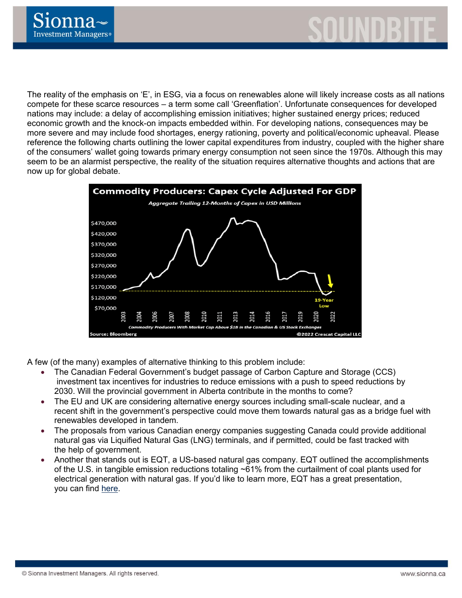

The reality of the emphasis on 'E', in ESG, via a focus on renewables alone will likely increase costs as all nations compete for these scarce resources – a term some call 'Greenflation'. Unfortunate consequences for developed nations may include: a delay of accomplishing emission initiatives; higher sustained energy prices; reduced economic growth and the knock-on impacts embedded within. For developing nations, consequences may be more severe and may include food shortages, energy rationing, poverty and political/economic upheaval. Please reference the following charts outlining the lower capital expenditures from industry, coupled with the higher share of the consumers' wallet going towards primary energy consumption not seen since the 1970s. Although this may seem to be an alarmist perspective, the reality of the situation requires alternative thoughts and actions that are now up for global debate.



A few (of the many) examples of alternative thinking to this problem include:

- The Canadian Federal Government's budget passage of Carbon Capture and Storage (CCS) investment tax incentives for industries to reduce emissions with a push to speed reductions by 2030. Will the provincial government in Alberta contribute in the months to come?
- The EU and UK are considering alternative energy sources including small-scale nuclear, and a recent shift in the government's perspective could move them towards natural gas as a bridge fuel with renewables developed in tandem.
- The proposals from various Canadian energy companies suggesting Canada could provide additional natural gas via Liquified Natural Gas (LNG) terminals, and if permitted, could be fast tracked with the help of government.
- Another that stands out is EQT, a US-based natural gas company. EQT outlined the accomplishments of the U.S. in tangible emission reductions totaling ~61% from the curtailment of coal plants used for electrical generation with natural gas. If you'd like to learn more, EQT has a great presentation, you can find [here.](https://www.eqt.com/wp-content/uploads/2022/03/LNG_Final.pdf)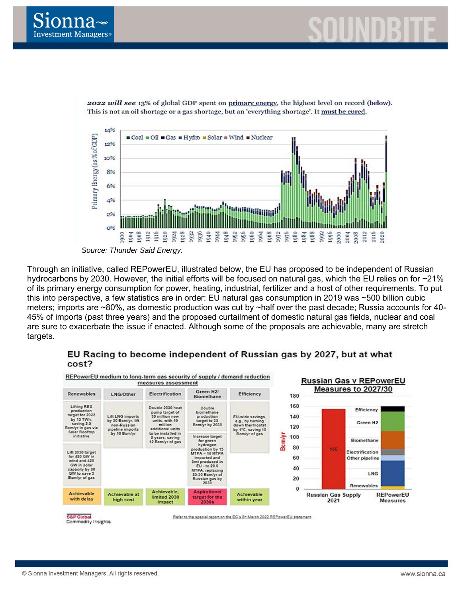





2022 will see 13% of global GDP spent on primary energy, the highest level on record (below). This is not an oil shortage or a gas shortage, but an 'everything shortage'. It must be cured.

*Source: Thunder Said Energy.*

Through an initiative, called REPowerEU, illustrated below, the EU has proposed to be independent of Russian hydrocarbons by 2030. However, the initial efforts will be focused on natural gas, which the EU relies on for ~21% of its primary energy consumption for power, heating, industrial, fertilizer and a host of other requirements. To put this into perspective, a few statistics are in order: EU natural gas consumption in 2019 was ~500 billion cubic meters; imports are ~80%, as domestic production was cut by ~half over the past decade; Russia accounts for 40- 45% of imports (past three years) and the proposed curtailment of domestic natural gas fields, nuclear and coal are sure to exacerbate the issue if enacted. Although some of the proposals are achievable, many are stretch targets.



## EU Racing to become independent of Russian gas by 2027, but at what cost?